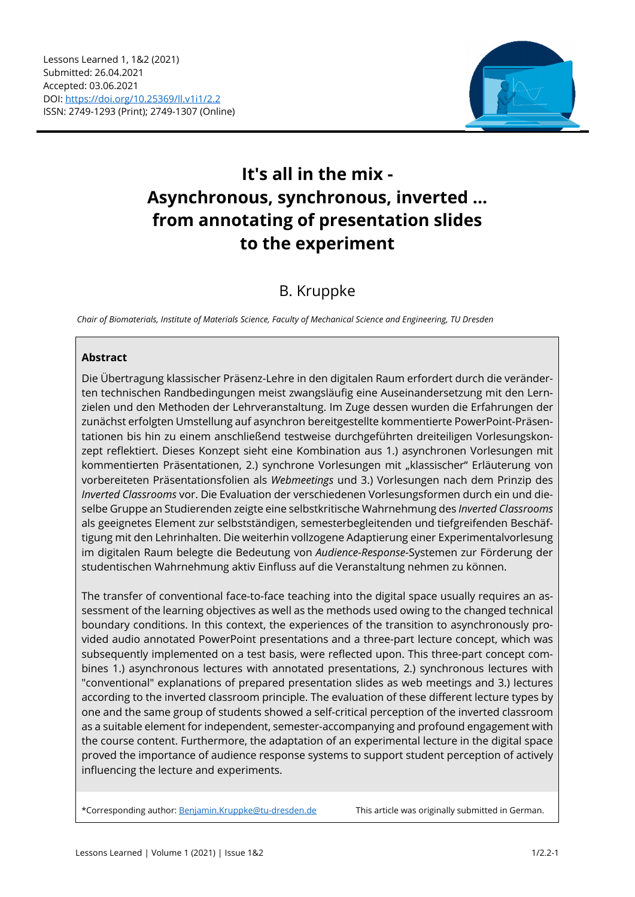

# **It's all in the mix - Asynchronous, synchronous, inverted ... from annotating of presentation slides to the experiment**

## B. Kruppke

*Chair of Biomaterials, Institute of Materials Science, Faculty of Mechanical Science and Engineering, TU Dresden* 

#### **Abstract**

Die Übertragung klassischer Präsenz-Lehre in den digitalen Raum erfordert durch die veränderten technischen Randbedingungen meist zwangsläufig eine Auseinandersetzung mit den Lernzielen und den Methoden der Lehrveranstaltung. Im Zuge dessen wurden die Erfahrungen der zunächst erfolgten Umstellung auf asynchron bereitgestellte kommentierte PowerPoint-Präsentationen bis hin zu einem anschließend testweise durchgeführten dreiteiligen Vorlesungskonzept reflektiert. Dieses Konzept sieht eine Kombination aus 1.) asynchronen Vorlesungen mit kommentierten Präsentationen, 2.) synchrone Vorlesungen mit "klassischer" Erläuterung von vorbereiteten Präsentationsfolien als *Webmeetings* und 3.) Vorlesungen nach dem Prinzip des *Inverted Classrooms* vor. Die Evaluation der verschiedenen Vorlesungsformen durch ein und dieselbe Gruppe an Studierenden zeigte eine selbstkritische Wahrnehmung des *Inverted Classrooms* als geeignetes Element zur selbstständigen, semesterbegleitenden und tiefgreifenden Beschäftigung mit den Lehrinhalten. Die weiterhin vollzogene Adaptierung einer Experimentalvorlesung im digitalen Raum belegte die Bedeutung von *Audience-Response*-Systemen zur Förderung der studentischen Wahrnehmung aktiv Einfluss auf die Veranstaltung nehmen zu können.

The transfer of conventional face-to-face teaching into the digital space usually requires an assessment of the learning objectives as well as the methods used owing to the changed technical boundary conditions. In this context, the experiences of the transition to asynchronously provided audio annotated PowerPoint presentations and a three-part lecture concept, which was subsequently implemented on a test basis, were reflected upon. This three-part concept combines 1.) asynchronous lectures with annotated presentations, 2.) synchronous lectures with "conventional" explanations of prepared presentation slides as web meetings and 3.) lectures according to the inverted classroom principle. The evaluation of these different lecture types by one and the same group of students showed a self-critical perception of the inverted classroom as a suitable element for independent, semester-accompanying and profound engagement with the course content. Furthermore, the adaptation of an experimental lecture in the digital space proved the importance of audience response systems to support student perception of actively influencing the lecture and experiments.

\*Corresponding author: Benjamin.Kruppke@tu-dresden.de This article was originally submitted in German.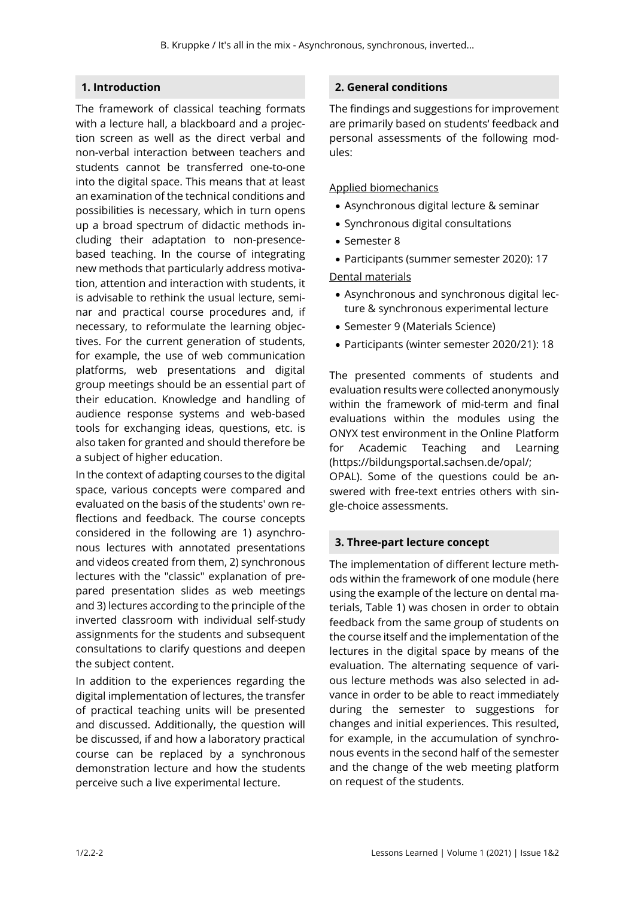## **1. Introduction**

The framework of classical teaching formats with a lecture hall, a blackboard and a projection screen as well as the direct verbal and non-verbal interaction between teachers and students cannot be transferred one-to-one into the digital space. This means that at least an examination of the technical conditions and possibilities is necessary, which in turn opens up a broad spectrum of didactic methods including their adaptation to non-presencebased teaching. In the course of integrating new methods that particularly address motivation, attention and interaction with students, it is advisable to rethink the usual lecture, seminar and practical course procedures and, if necessary, to reformulate the learning objectives. For the current generation of students, for example, the use of web communication platforms, web presentations and digital group meetings should be an essential part of their education. Knowledge and handling of audience response systems and web-based tools for exchanging ideas, questions, etc. is also taken for granted and should therefore be a subject of higher education.

In the context of adapting courses to the digital space, various concepts were compared and evaluated on the basis of the students' own reflections and feedback. The course concepts considered in the following are 1) asynchronous lectures with annotated presentations and videos created from them, 2) synchronous lectures with the "classic" explanation of prepared presentation slides as web meetings and 3) lectures according to the principle of the inverted classroom with individual self-study assignments for the students and subsequent consultations to clarify questions and deepen the subject content.

In addition to the experiences regarding the digital implementation of lectures, the transfer of practical teaching units will be presented and discussed. Additionally, the question will be discussed, if and how a laboratory practical course can be replaced by a synchronous demonstration lecture and how the students perceive such a live experimental lecture.

### **2. General conditions**

The findings and suggestions for improvement are primarily based on students' feedback and personal assessments of the following modules:

#### Applied biomechanics

- Asynchronous digital lecture & seminar
- Synchronous digital consultations
- Semester 8
- Participants (summer semester 2020): 17

Dental materials

- Asynchronous and synchronous digital lecture & synchronous experimental lecture
- Semester 9 (Materials Science)
- Participants (winter semester 2020/21): 18

The presented comments of students and evaluation results were collected anonymously within the framework of mid-term and final evaluations within the modules using the ONYX test environment in the Online Platform for Academic Teaching and Learning (https://bildungsportal.sachsen.de/opal/; OPAL). Some of the questions could be answered with free-text entries others with single-choice assessments.

#### **3. Three-part lecture concept**

The implementation of different lecture methods within the framework of one module (here using the example of the lecture on dental materials, Table 1) was chosen in order to obtain feedback from the same group of students on the course itself and the implementation of the lectures in the digital space by means of the evaluation. The alternating sequence of various lecture methods was also selected in advance in order to be able to react immediately during the semester to suggestions for changes and initial experiences. This resulted, for example, in the accumulation of synchronous events in the second half of the semester and the change of the web meeting platform on request of the students.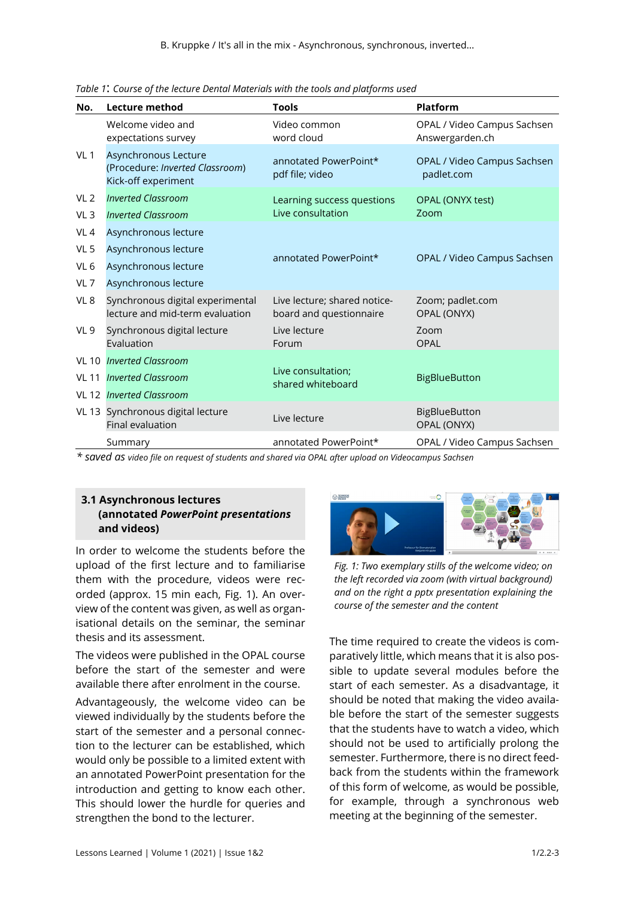| No.             | <b>Lecture method</b>                                                          | <b>Tools</b>                                            | Platform                                       |
|-----------------|--------------------------------------------------------------------------------|---------------------------------------------------------|------------------------------------------------|
|                 | Welcome video and<br>expectations survey                                       | Video common<br>word cloud                              | OPAL / Video Campus Sachsen<br>Answergarden.ch |
| VL <sub>1</sub> | Asynchronous Lecture<br>(Procedure: Inverted Classroom)<br>Kick-off experiment | annotated PowerPoint*<br>pdf file; video                | OPAL / Video Campus Sachsen<br>padlet.com      |
| VL <sub>2</sub> | <b>Inverted Classroom</b>                                                      | Learning success questions                              | OPAL (ONYX test)                               |
| VL <sub>3</sub> | <b>Inverted Classroom</b>                                                      | Live consultation                                       | Zoom                                           |
| VL <sub>4</sub> | Asynchronous lecture                                                           |                                                         |                                                |
| VL <sub>5</sub> | Asynchronous lecture                                                           | annotated PowerPoint*                                   | OPAL / Video Campus Sachsen                    |
| VL <sub>6</sub> | Asynchronous lecture                                                           |                                                         |                                                |
| VL <sub>7</sub> | Asynchronous lecture                                                           |                                                         |                                                |
| VL <sub>8</sub> | Synchronous digital experimental<br>lecture and mid-term evaluation            | Live lecture; shared notice-<br>board and questionnaire | Zoom; padlet.com<br>OPAL (ONYX)                |
| VL <sub>9</sub> | Synchronous digital lecture<br>Evaluation                                      | Live lecture<br>Forum                                   | Zoom<br><b>OPAL</b>                            |
| <b>VL 10</b>    | <b>Inverted Classroom</b>                                                      |                                                         |                                                |
| <b>VL 11</b>    | <b>Inverted Classroom</b>                                                      | Live consultation;<br>shared whiteboard                 | <b>BigBlueButton</b>                           |
|                 | VL 12 Inverted Classroom                                                       |                                                         |                                                |
|                 | VL 13 Synchronous digital lecture<br>Final evaluation                          | Live lecture                                            | <b>BigBlueButton</b><br>OPAL (ONYX)            |
|                 | Summary                                                                        | annotated PowerPoint*                                   | OPAL / Video Campus Sachsen                    |

*Table 1*: *Course of the lecture Dental Materials with the tools and platforms used*

*\* saved as video file on request of students and shared via OPAL after upload on Videocampus Sachsen*

## **3.1 Asynchronous lectures (annotated** *PowerPoint presentations*  **and videos)**

In order to welcome the students before the upload of the first lecture and to familiarise them with the procedure, videos were recorded (approx. 15 min each, Fig. 1). An overview of the content was given, as well as organisational details on the seminar, the seminar thesis and its assessment.

The videos were published in the OPAL course before the start of the semester and were available there after enrolment in the course.

Advantageously, the welcome video can be viewed individually by the students before the start of the semester and a personal connection to the lecturer can be established, which would only be possible to a limited extent with an annotated PowerPoint presentation for the introduction and getting to know each other. This should lower the hurdle for queries and strengthen the bond to the lecturer.



*Fig. 1: Two exemplary stills of the welcome video; on the left recorded via zoom (with virtual background) and on the right a pptx presentation explaining the course of the semester and the content*

The time required to create the videos is comparatively little, which means that it is also possible to update several modules before the start of each semester. As a disadvantage, it should be noted that making the video available before the start of the semester suggests that the students have to watch a video, which should not be used to artificially prolong the semester. Furthermore, there is no direct feedback from the students within the framework of this form of welcome, as would be possible, for example, through a synchronous web meeting at the beginning of the semester.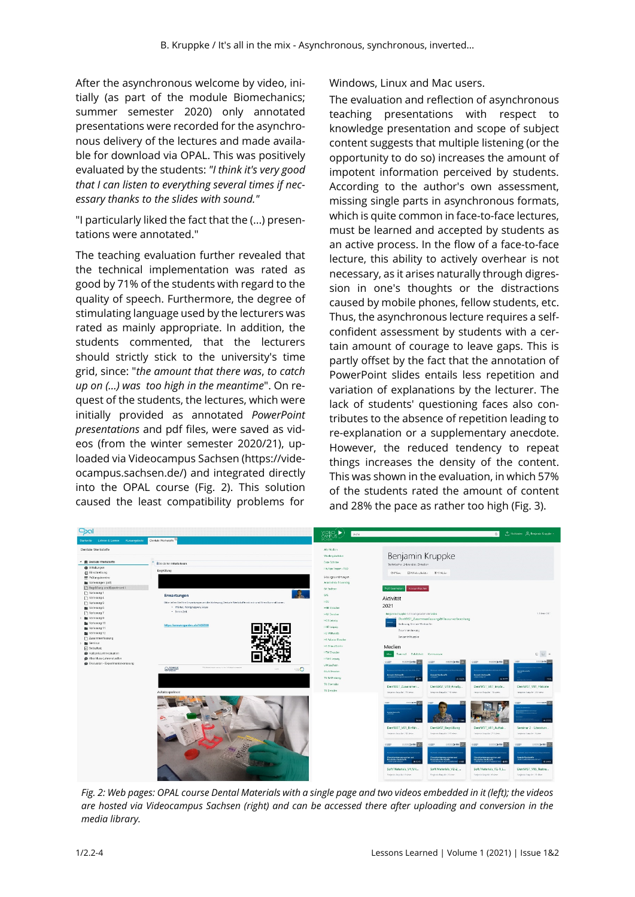After the asynchronous welcome by video, initially (as part of the module Biomechanics; summer semester 2020) only annotated presentations were recorded for the asynchronous delivery of the lectures and made available for download via OPAL. This was positively evaluated by the students: *"I think it's very good that I can listen to everything several times if necessary thanks to the slides with sound."*

"I particularly liked the fact that the (...) presentations were annotated."

The teaching evaluation further revealed that the technical implementation was rated as good by 71% of the students with regard to the quality of speech. Furthermore, the degree of stimulating language used by the lecturers was rated as mainly appropriate. In addition, the students commented, that the lecturers should strictly stick to the university's time grid, since: "*the amount that there was*, *to catch up on (...) was too high in the meantime*". On request of the students, the lectures, which were initially provided as annotated *PowerPoint presentations* and pdf files, were saved as videos (from the winter semester 2020/21), uploaded via Videocampus Sachsen (https://videocampus.sachsen.de/) and integrated directly into the OPAL course (Fig. 2). This solution caused the least compatibility problems for

Windows, Linux and Mac users.

The evaluation and reflection of asynchronous teaching presentations with respect to knowledge presentation and scope of subject content suggests that multiple listening (or the opportunity to do so) increases the amount of impotent information perceived by students. According to the author's own assessment, missing single parts in asynchronous formats, which is quite common in face-to-face lectures, must be learned and accepted by students as an active process. In the flow of a face-to-face lecture, this ability to actively overhear is not necessary, as it arises naturally through digression in one's thoughts or the distractions caused by mobile phones, fellow students, etc. Thus, the asynchronous lecture requires a selfconfident assessment by students with a certain amount of courage to leave gaps. This is partly offset by the fact that the annotation of PowerPoint slides entails less repetition and variation of explanations by the lecturer. The lack of students' questioning faces also contributes to the absence of repetition leading to re-explanation or a supplementary anecdote. However, the reduced tendency to repeat things increases the density of the content. This was shown in the evaluation, in which 57% of the students rated the amount of content and 28% the pace as rather too high (Fig. 3).



*Fig. 2: Web pages: OPAL course Dental Materials with a single page and two videos embedded in it (left); the videos are hosted via Videocampus Sachsen (right) and can be accessed there after uploading and conversion in the media library.*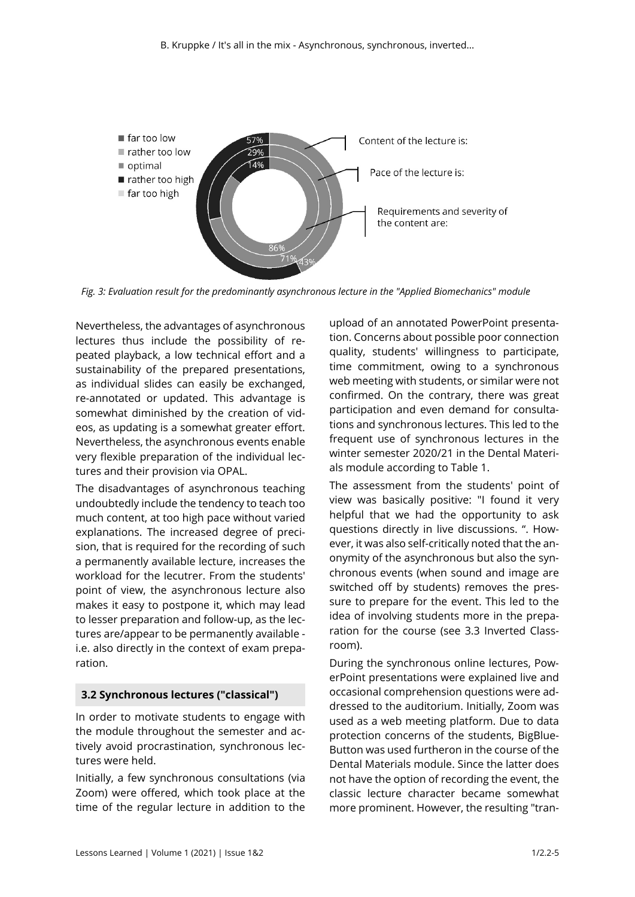

*Fig. 3: Evaluation result for the predominantly asynchronous lecture in the "Applied Biomechanics" module*

Nevertheless, the advantages of asynchronous lectures thus include the possibility of repeated playback, a low technical effort and a sustainability of the prepared presentations, as individual slides can easily be exchanged, re-annotated or updated. This advantage is somewhat diminished by the creation of videos, as updating is a somewhat greater effort. Nevertheless, the asynchronous events enable very flexible preparation of the individual lectures and their provision via OPAL.

The disadvantages of asynchronous teaching undoubtedly include the tendency to teach too much content, at too high pace without varied explanations. The increased degree of precision, that is required for the recording of such a permanently available lecture, increases the workload for the lecutrer. From the students' point of view, the asynchronous lecture also makes it easy to postpone it, which may lead to lesser preparation and follow-up, as the lectures are/appear to be permanently available i.e. also directly in the context of exam preparation.

## **3.2 Synchronous lectures ("classical")**

In order to motivate students to engage with the module throughout the semester and actively avoid procrastination, synchronous lectures were held.

Initially, a few synchronous consultations (via Zoom) were offered, which took place at the time of the regular lecture in addition to the

upload of an annotated PowerPoint presentation. Concerns about possible poor connection quality, students' willingness to participate, time commitment, owing to a synchronous web meeting with students, or similar were not confirmed. On the contrary, there was great participation and even demand for consultations and synchronous lectures. This led to the frequent use of synchronous lectures in the winter semester 2020/21 in the Dental Materials module according to Table 1.

The assessment from the students' point of view was basically positive: "I found it very helpful that we had the opportunity to ask questions directly in live discussions. ". However, it was also self-critically noted that the anonymity of the asynchronous but also the synchronous events (when sound and image are switched off by students) removes the pressure to prepare for the event. This led to the idea of involving students more in the preparation for the course (see 3.3 Inverted Classroom).

During the synchronous online lectures, PowerPoint presentations were explained live and occasional comprehension questions were addressed to the auditorium. Initially, Zoom was used as a web meeting platform. Due to data protection concerns of the students, BigBlue-Button was used furtheron in the course of the Dental Materials module. Since the latter does not have the option of recording the event, the classic lecture character became somewhat more prominent. However, the resulting "tran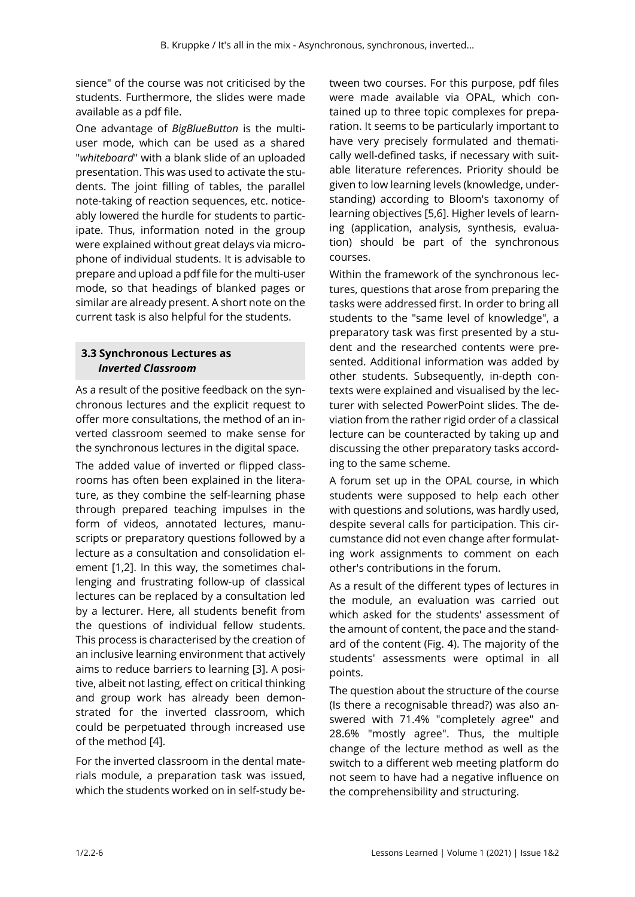sience" of the course was not criticised by the students. Furthermore, the slides were made available as a pdf file.

One advantage of *BigBlueButton* is the multiuser mode, which can be used as a shared "*whiteboard*" with a blank slide of an uploaded presentation. This was used to activate the students. The joint filling of tables, the parallel note-taking of reaction sequences, etc. noticeably lowered the hurdle for students to participate. Thus, information noted in the group were explained without great delays via microphone of individual students. It is advisable to prepare and upload a pdf file for the multi-user mode, so that headings of blanked pages or similar are already present. A short note on the current task is also helpful for the students.

## **3.3 Synchronous Lectures as**  *Inverted Classroom*

As a result of the positive feedback on the synchronous lectures and the explicit request to offer more consultations, the method of an inverted classroom seemed to make sense for the synchronous lectures in the digital space.

The added value of inverted or flipped classrooms has often been explained in the literature, as they combine the self-learning phase through prepared teaching impulses in the form of videos, annotated lectures, manuscripts or preparatory questions followed by a lecture as a consultation and consolidation element [1,2]. In this way, the sometimes challenging and frustrating follow-up of classical lectures can be replaced by a consultation led by a lecturer. Here, all students benefit from the questions of individual fellow students. This process is characterised by the creation of an inclusive learning environment that actively aims to reduce barriers to learning [3]. A positive, albeit not lasting, effect on critical thinking and group work has already been demonstrated for the inverted classroom, which could be perpetuated through increased use of the method [4].

For the inverted classroom in the dental materials module, a preparation task was issued, which the students worked on in self-study be-

tween two courses. For this purpose, pdf files were made available via OPAL, which contained up to three topic complexes for preparation. It seems to be particularly important to have very precisely formulated and thematically well-defined tasks, if necessary with suitable literature references. Priority should be given to low learning levels (knowledge, understanding) according to Bloom's taxonomy of learning objectives [5,6]. Higher levels of learning (application, analysis, synthesis, evaluation) should be part of the synchronous courses.

Within the framework of the synchronous lectures, questions that arose from preparing the tasks were addressed first. In order to bring all students to the "same level of knowledge", a preparatory task was first presented by a student and the researched contents were presented. Additional information was added by other students. Subsequently, in-depth contexts were explained and visualised by the lecturer with selected PowerPoint slides. The deviation from the rather rigid order of a classical lecture can be counteracted by taking up and discussing the other preparatory tasks according to the same scheme.

A forum set up in the OPAL course, in which students were supposed to help each other with questions and solutions, was hardly used, despite several calls for participation. This circumstance did not even change after formulating work assignments to comment on each other's contributions in the forum.

As a result of the different types of lectures in the module, an evaluation was carried out which asked for the students' assessment of the amount of content, the pace and the standard of the content (Fig. 4). The majority of the students' assessments were optimal in all points.

The question about the structure of the course (Is there a recognisable thread?) was also answered with 71.4% "completely agree" and 28.6% "mostly agree". Thus, the multiple change of the lecture method as well as the switch to a different web meeting platform do not seem to have had a negative influence on the comprehensibility and structuring.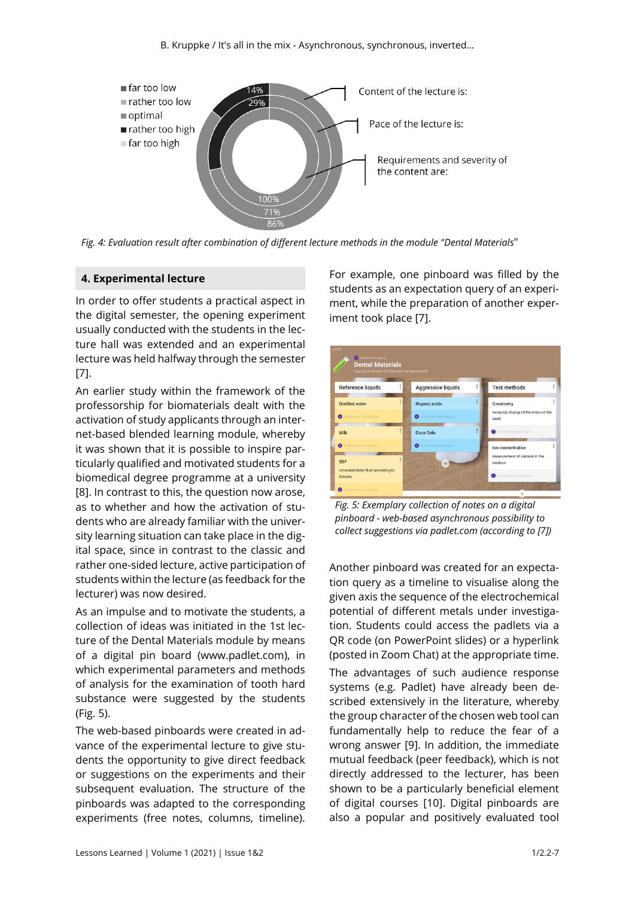

*Fig. 4: Evaluation result after combination of different lecture methods in the module "Dental Materials*"

#### **4. Experimental lecture**

In order to offer students a practical aspect in the digital semester, the opening experiment usually conducted with the students in the lecture hall was extended and an experimental lecture was held halfway through the semester [7].

An earlier study within the framework of the professorship for biomaterials dealt with the activation of study applicants through an internet-based blended learning module, whereby it was shown that it is possible to inspire particularly qualified and motivated students for a biomedical degree programme at a university [8]. In contrast to this, the question now arose, as to whether and how the activation of students who are already familiar with the university learning situation can take place in the digital space, since in contrast to the classic and rather one-sided lecture, active participation of students within the lecture (as feedback for the lecturer) was now desired.

As an impulse and to motivate the students, a collection of ideas was initiated in the 1st lecture of the Dental Materials module by means of a digital pin board (www.padlet.com), in which experimental parameters and methods of analysis for the examination of tooth hard substance were suggested by the students (Fig. 5).

The web-based pinboards were created in advance of the experimental lecture to give students the opportunity to give direct feedback or suggestions on the experiments and their subsequent evaluation. The structure of the pinboards was adapted to the corresponding experiments (free notes, columns, timeline).

For example, one pinboard was filled by the students as an expectation query of an experiment, while the preparation of another experiment took place [7].



*Fig. 5: Exemplary collection of notes on a digital pinboard - web-based asynchronous possibility to collect suggestions via padlet.com (according to [7])* 

Another pinboard was created for an expectation query as a timeline to visualise along the given axis the sequence of the electrochemical potential of different metals under investigation. Students could access the padlets via a QR code (on PowerPoint slides) or a hyperlink (posted in Zoom Chat) at the appropriate time. The advantages of such audience response systems (e.g. Padlet) have already been described extensively in the literature, whereby the group character of the chosen web tool can fundamentally help to reduce the fear of a wrong answer [9]. In addition, the immediate mutual feedback (peer feedback), which is not directly addressed to the lecturer, has been shown to be a particularly beneficial element of digital courses [10]. Digital pinboards are also a popular and positively evaluated tool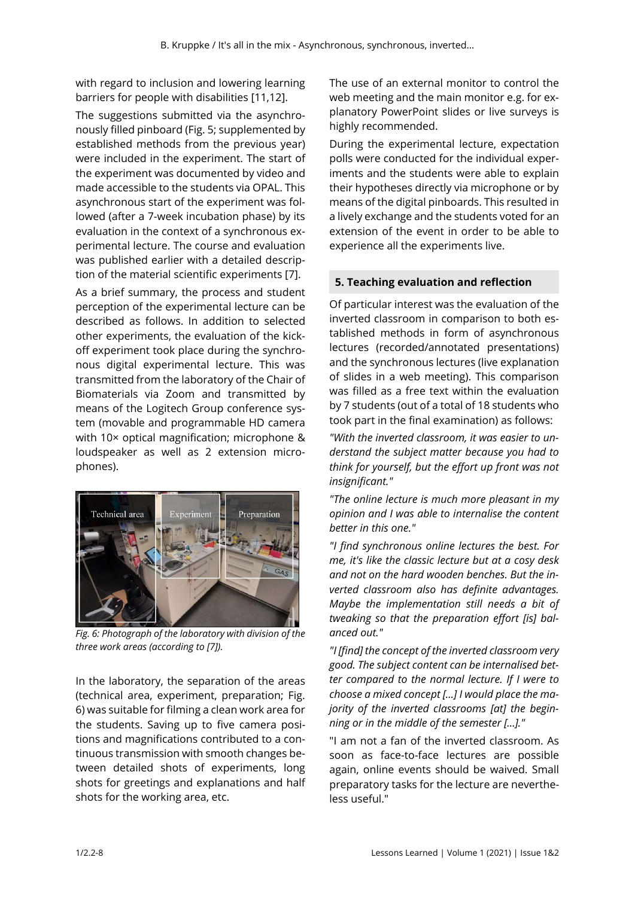with regard to inclusion and lowering learning barriers for people with disabilities [11,12].

The suggestions submitted via the asynchronously filled pinboard (Fig. 5; supplemented by established methods from the previous year) were included in the experiment. The start of the experiment was documented by video and made accessible to the students via OPAL. This asynchronous start of the experiment was followed (after a 7-week incubation phase) by its evaluation in the context of a synchronous experimental lecture. The course and evaluation was published earlier with a detailed description of the material scientific experiments [7].

As a brief summary, the process and student perception of the experimental lecture can be described as follows. In addition to selected other experiments, the evaluation of the kickoff experiment took place during the synchronous digital experimental lecture. This was transmitted from the laboratory of the Chair of Biomaterials via Zoom and transmitted by means of the Logitech Group conference system (movable and programmable HD camera with 10× optical magnification; microphone & loudspeaker as well as 2 extension microphones).



*Fig. 6: Photograph of the laboratory with division of the three work areas (according to [7]).* 

In the laboratory, the separation of the areas (technical area, experiment, preparation; Fig. 6) was suitable for filming a clean work area for the students. Saving up to five camera positions and magnifications contributed to a continuous transmission with smooth changes between detailed shots of experiments, long shots for greetings and explanations and half shots for the working area, etc.

The use of an external monitor to control the web meeting and the main monitor e.g. for explanatory PowerPoint slides or live surveys is highly recommended.

During the experimental lecture, expectation polls were conducted for the individual experiments and the students were able to explain their hypotheses directly via microphone or by means of the digital pinboards. This resulted in a lively exchange and the students voted for an extension of the event in order to be able to experience all the experiments live.

## **5. Teaching evaluation and reflection**

Of particular interest was the evaluation of the inverted classroom in comparison to both established methods in form of asynchronous lectures (recorded/annotated presentations) and the synchronous lectures (live explanation of slides in a web meeting). This comparison was filled as a free text within the evaluation by 7 students (out of a total of 18 students who took part in the final examination) as follows:

*"With the inverted classroom, it was easier to understand the subject matter because you had to think for yourself, but the effort up front was not insignificant."* 

*"The online lecture is much more pleasant in my opinion and I was able to internalise the content better in this one."* 

*"I find synchronous online lectures the best. For me, it's like the classic lecture but at a cosy desk and not on the hard wooden benches. But the inverted classroom also has definite advantages. Maybe the implementation still needs a bit of tweaking so that the preparation effort [is] balanced out."* 

*"I [find] the concept of the inverted classroom very good. The subject content can be internalised better compared to the normal lecture. If I were to choose a mixed concept [...] I would place the majority of the inverted classrooms [at] the beginning or in the middle of the semester [...]."* 

"I am not a fan of the inverted classroom. As soon as face-to-face lectures are possible again, online events should be waived. Small preparatory tasks for the lecture are nevertheless useful."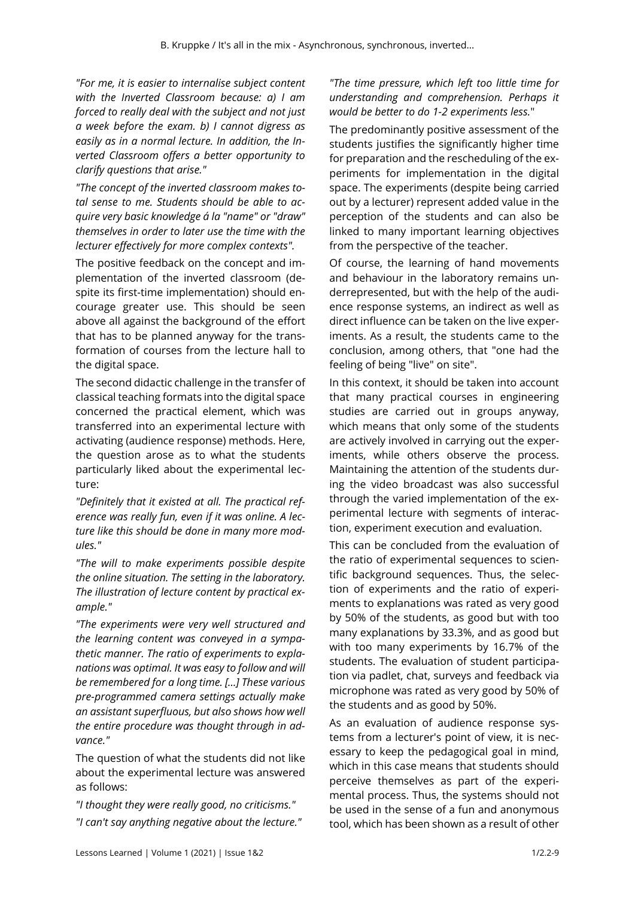*"For me, it is easier to internalise subject content with the Inverted Classroom because: a) I am forced to really deal with the subject and not just a week before the exam. b) I cannot digress as easily as in a normal lecture. In addition, the Inverted Classroom offers a better opportunity to clarify questions that arise."* 

*"The concept of the inverted classroom makes total sense to me. Students should be able to acquire very basic knowledge á la "name" or "draw" themselves in order to later use the time with the lecturer effectively for more complex contexts".* 

The positive feedback on the concept and implementation of the inverted classroom (despite its first-time implementation) should encourage greater use. This should be seen above all against the background of the effort that has to be planned anyway for the transformation of courses from the lecture hall to the digital space.

The second didactic challenge in the transfer of classical teaching formats into the digital space concerned the practical element, which was transferred into an experimental lecture with activating (audience response) methods. Here, the question arose as to what the students particularly liked about the experimental lecture:

*"Definitely that it existed at all. The practical reference was really fun, even if it was online. A lecture like this should be done in many more modules."* 

*"The will to make experiments possible despite the online situation. The setting in the laboratory. The illustration of lecture content by practical example."* 

*"The experiments were very well structured and the learning content was conveyed in a sympathetic manner. The ratio of experiments to explanations was optimal. It was easy to follow and will be remembered for a long time. [...] These various pre-programmed camera settings actually make an assistant superfluous, but also shows how well the entire procedure was thought through in advance."* 

The question of what the students did not like about the experimental lecture was answered as follows:

*"I thought they were really good, no criticisms."* 

*"I can't say anything negative about the lecture."* 

#### *"The time pressure, which left too little time for understanding and comprehension. Perhaps it would be better to do 1-2 experiments less.*"

The predominantly positive assessment of the students justifies the significantly higher time for preparation and the rescheduling of the experiments for implementation in the digital space. The experiments (despite being carried out by a lecturer) represent added value in the perception of the students and can also be linked to many important learning objectives from the perspective of the teacher.

Of course, the learning of hand movements and behaviour in the laboratory remains underrepresented, but with the help of the audience response systems, an indirect as well as direct influence can be taken on the live experiments. As a result, the students came to the conclusion, among others, that "one had the feeling of being "live" on site".

In this context, it should be taken into account that many practical courses in engineering studies are carried out in groups anyway, which means that only some of the students are actively involved in carrying out the experiments, while others observe the process. Maintaining the attention of the students during the video broadcast was also successful through the varied implementation of the experimental lecture with segments of interaction, experiment execution and evaluation.

This can be concluded from the evaluation of the ratio of experimental sequences to scientific background sequences. Thus, the selection of experiments and the ratio of experiments to explanations was rated as very good by 50% of the students, as good but with too many explanations by 33.3%, and as good but with too many experiments by 16.7% of the students. The evaluation of student participation via padlet, chat, surveys and feedback via microphone was rated as very good by 50% of the students and as good by 50%.

As an evaluation of audience response systems from a lecturer's point of view, it is necessary to keep the pedagogical goal in mind, which in this case means that students should perceive themselves as part of the experimental process. Thus, the systems should not be used in the sense of a fun and anonymous tool, which has been shown as a result of other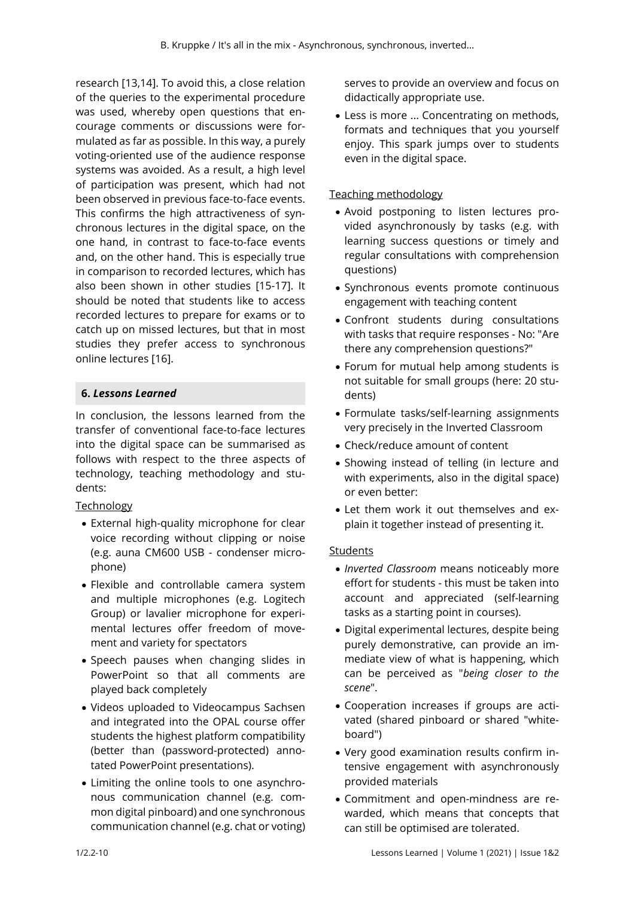research [13,14]. To avoid this, a close relation of the queries to the experimental procedure was used, whereby open questions that encourage comments or discussions were formulated as far as possible. In this way, a purely voting-oriented use of the audience response systems was avoided. As a result, a high level of participation was present, which had not been observed in previous face-to-face events. This confirms the high attractiveness of synchronous lectures in the digital space, on the one hand, in contrast to face-to-face events and, on the other hand. This is especially true in comparison to recorded lectures, which has also been shown in other studies [15-17]. It should be noted that students like to access recorded lectures to prepare for exams or to catch up on missed lectures, but that in most studies they prefer access to synchronous online lectures [16].

## **6.** *Lessons Learned*

In conclusion, the lessons learned from the transfer of conventional face-to-face lectures into the digital space can be summarised as follows with respect to the three aspects of technology, teaching methodology and students:

## Technology

- External high-quality microphone for clear voice recording without clipping or noise (e.g. auna CM600 USB - condenser microphone)
- Flexible and controllable camera system and multiple microphones (e.g. Logitech Group) or lavalier microphone for experimental lectures offer freedom of movement and variety for spectators
- Speech pauses when changing slides in PowerPoint so that all comments are played back completely
- Videos uploaded to Videocampus Sachsen and integrated into the OPAL course offer students the highest platform compatibility (better than (password-protected) annotated PowerPoint presentations).
- Limiting the online tools to one asynchronous communication channel (e.g. common digital pinboard) and one synchronous communication channel (e.g. chat or voting)

serves to provide an overview and focus on didactically appropriate use.

 Less is more ... Concentrating on methods, formats and techniques that you yourself enjoy. This spark jumps over to students even in the digital space.

## Teaching methodology

- Avoid postponing to listen lectures provided asynchronously by tasks (e.g. with learning success questions or timely and regular consultations with comprehension questions)
- Synchronous events promote continuous engagement with teaching content
- Confront students during consultations with tasks that require responses - No: "Are there any comprehension questions?"
- Forum for mutual help among students is not suitable for small groups (here: 20 students)
- Formulate tasks/self-learning assignments very precisely in the Inverted Classroom
- Check/reduce amount of content
- Showing instead of telling (in lecture and with experiments, also in the digital space) or even better:
- Let them work it out themselves and explain it together instead of presenting it.

## **Students**

- *Inverted Classroom* means noticeably more effort for students - this must be taken into account and appreciated (self-learning tasks as a starting point in courses).
- Digital experimental lectures, despite being purely demonstrative, can provide an immediate view of what is happening, which can be perceived as "*being closer to the scene*".
- Cooperation increases if groups are activated (shared pinboard or shared "whiteboard")
- Very good examination results confirm intensive engagement with asynchronously provided materials
- Commitment and open-mindness are rewarded, which means that concepts that can still be optimised are tolerated.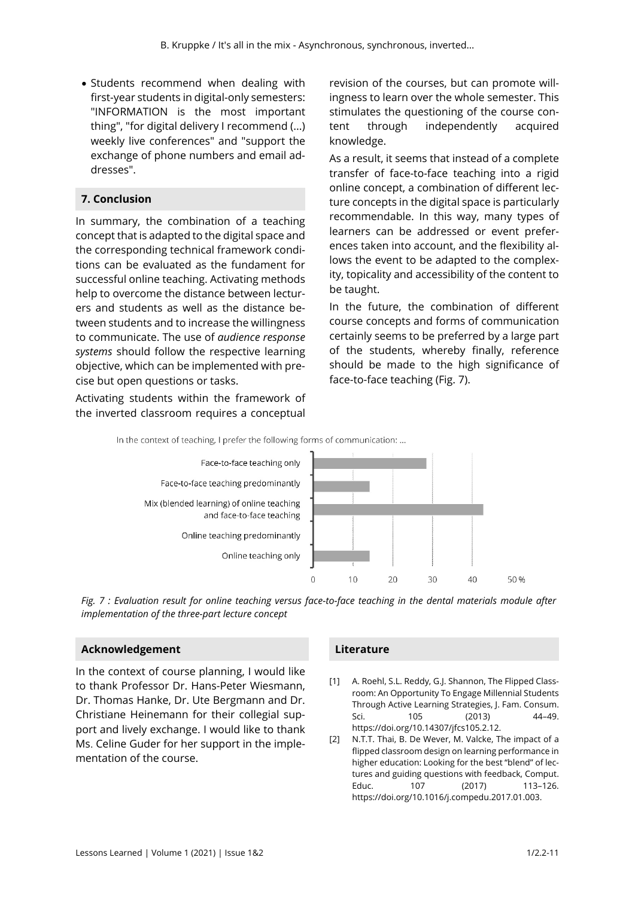• Students recommend when dealing with first-year students in digital-only semesters: "INFORMATION is the most important thing", "for digital delivery I recommend (...) weekly live conferences" and "support the exchange of phone numbers and email addresses".

## **7. Conclusion**

In summary, the combination of a teaching concept that is adapted to the digital space and the corresponding technical framework conditions can be evaluated as the fundament for successful online teaching. Activating methods help to overcome the distance between lecturers and students as well as the distance between students and to increase the willingness to communicate. The use of *audience response systems* should follow the respective learning objective, which can be implemented with precise but open questions or tasks.

Activating students within the framework of the inverted classroom requires a conceptual

revision of the courses, but can promote willingness to learn over the whole semester. This stimulates the questioning of the course content through independently acquired knowledge.

As a result, it seems that instead of a complete transfer of face-to-face teaching into a rigid online concept, a combination of different lecture concepts in the digital space is particularly recommendable. In this way, many types of learners can be addressed or event preferences taken into account, and the flexibility allows the event to be adapted to the complexity, topicality and accessibility of the content to be taught.

In the future, the combination of different course concepts and forms of communication certainly seems to be preferred by a large part of the students, whereby finally, reference should be made to the high significance of face-to-face teaching (Fig. 7).



*Fig. 7 : Evaluation result for online teaching versus face-to-face teaching in the dental materials module after implementation of the three-part lecture concept* 

## **Acknowledgement**

In the context of course planning, I would like to thank Professor Dr. Hans-Peter Wiesmann, Dr. Thomas Hanke, Dr. Ute Bergmann and Dr. Christiane Heinemann for their collegial support and lively exchange. I would like to thank Ms. Celine Guder for her support in the implementation of the course.

#### **Literature**

- [1] A. Roehl, S.L. Reddy, G.J. Shannon, The Flipped Classroom: An Opportunity To Engage Millennial Students Through Active Learning Strategies, J. Fam. Consum. Sci. 105 (2013) 44-49. https://doi.org/10.14307/jfcs105.2.12.
- [2] N.T.T. Thai, B. De Wever, M. Valcke, The impact of a flipped classroom design on learning performance in higher education: Looking for the best "blend" of lectures and guiding questions with feedback, Comput. Educ. 107 (2017) 113-126. https://doi.org/10.1016/j.compedu.2017.01.003.